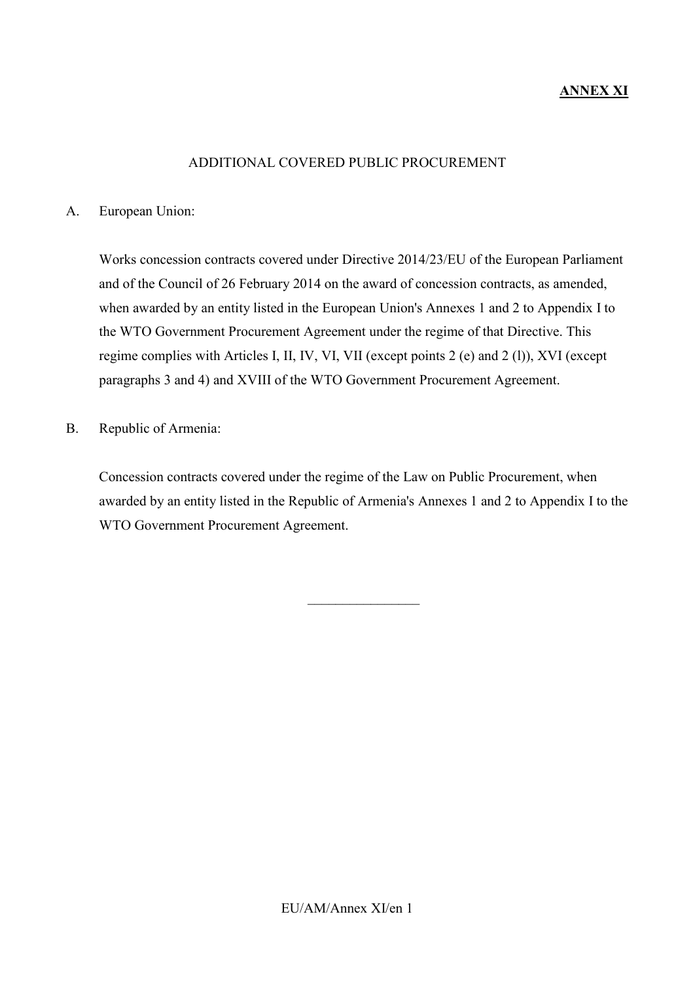# **ANNEX XI**

#### ADDITIONAL COVERED PUBLIC PROCUREMENT

#### A. European Union:

Works concession contracts covered under Directive 2014/23/EU of the European Parliament and of the Council of 26 February 2014 on the award of concession contracts, as amended, when awarded by an entity listed in the European Union's Annexes 1 and 2 to Appendix I to the WTO Government Procurement Agreement under the regime of that Directive. This regime complies with Articles I, II, IV, VI, VII (except points 2 (e) and 2 (l)), XVI (except paragraphs 3 and 4) and XVIII of the WTO Government Procurement Agreement.

B. Republic of Armenia:

Concession contracts covered under the regime of the Law on Public Procurement, when awarded by an entity listed in the Republic of Armenia's Annexes 1 and 2 to Appendix I to the WTO Government Procurement Agreement.

 $\frac{1}{2}$  ,  $\frac{1}{2}$  ,  $\frac{1}{2}$  ,  $\frac{1}{2}$  ,  $\frac{1}{2}$  ,  $\frac{1}{2}$  ,  $\frac{1}{2}$  ,  $\frac{1}{2}$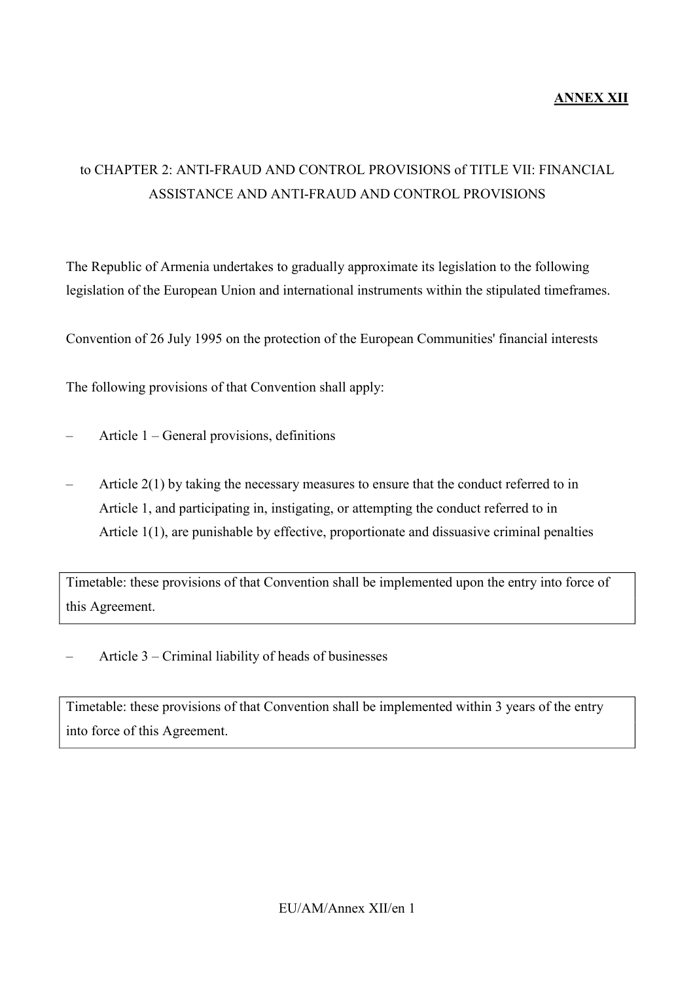#### **ANNEX XII**

# to CHAPTER 2: ANTI-FRAUD AND CONTROL PROVISIONS of TITLE VII: FINANCIAL ASSISTANCE AND ANTI-FRAUD AND CONTROL PROVISIONS

The Republic of Armenia undertakes to gradually approximate its legislation to the following legislation of the European Union and international instruments within the stipulated timeframes.

Convention of 26 July 1995 on the protection of the European Communities' financial interests

The following provisions of that Convention shall apply:

- Article 1 General provisions, definitions
- Article 2(1) by taking the necessary measures to ensure that the conduct referred to in Article 1, and participating in, instigating, or attempting the conduct referred to in Article 1(1), are punishable by effective, proportionate and dissuasive criminal penalties

Timetable: these provisions of that Convention shall be implemented upon the entry into force of this Agreement.

– Article 3 – Criminal liability of heads of businesses

Timetable: these provisions of that Convention shall be implemented within 3 years of the entry into force of this Agreement.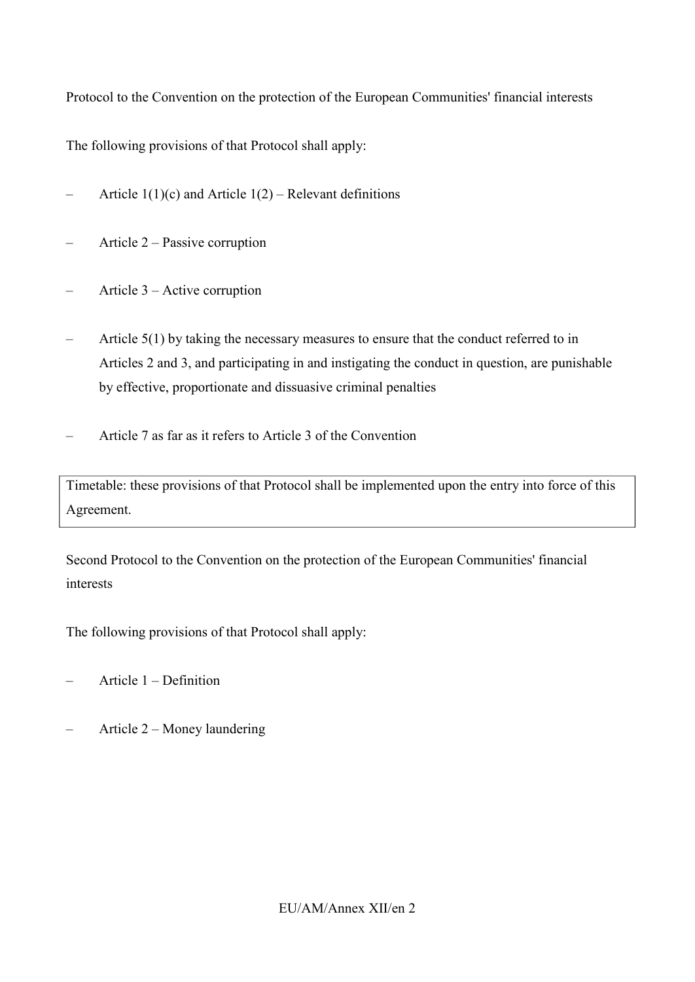Protocol to the Convention on the protection of the European Communities' financial interests

The following provisions of that Protocol shall apply:

- Article  $1(1)(c)$  and Article  $1(2)$  Relevant definitions
- Article 2 Passive corruption
- Article 3 Active corruption
- Article 5(1) by taking the necessary measures to ensure that the conduct referred to in Articles 2 and 3, and participating in and instigating the conduct in question, are punishable by effective, proportionate and dissuasive criminal penalties
- Article 7 as far as it refers to Article 3 of the Convention

Timetable: these provisions of that Protocol shall be implemented upon the entry into force of this Agreement.

Second Protocol to the Convention on the protection of the European Communities' financial interests

The following provisions of that Protocol shall apply:

- Article 1 Definition
- Article 2 Money laundering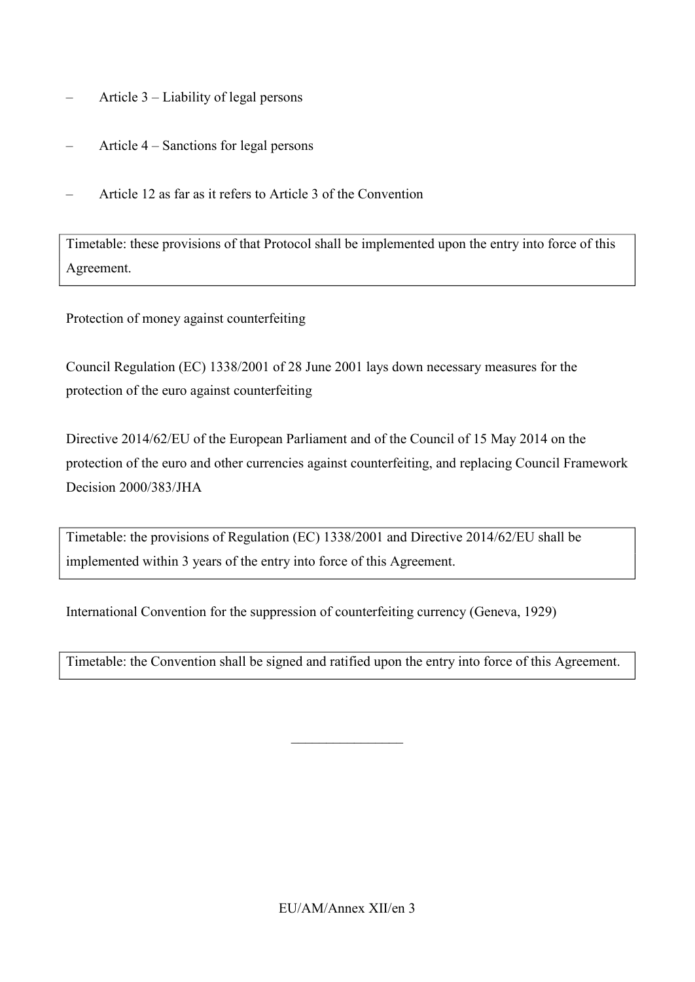- Article 3 Liability of legal persons
- Article 4 Sanctions for legal persons
- Article 12 as far as it refers to Article 3 of the Convention

Timetable: these provisions of that Protocol shall be implemented upon the entry into force of this Agreement.

Protection of money against counterfeiting

Council Regulation (EC) 1338/2001 of 28 June 2001 lays down necessary measures for the protection of the euro against counterfeiting

Directive 2014/62/EU of the European Parliament and of the Council of 15 May 2014 on the protection of the euro and other currencies against counterfeiting, and replacing Council Framework Decision 2000/383/JHA

Timetable: the provisions of Regulation (EC) 1338/2001 and Directive 2014/62/EU shall be implemented within 3 years of the entry into force of this Agreement.

International Convention for the suppression of counterfeiting currency (Geneva, 1929)

Timetable: the Convention shall be signed and ratified upon the entry into force of this Agreement.

 $\_$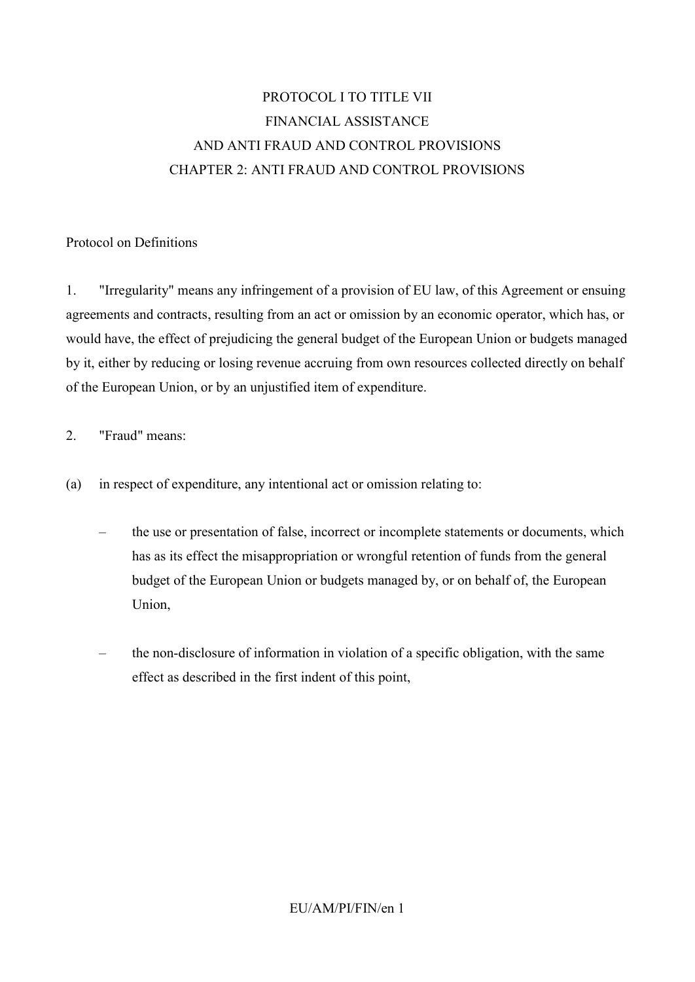# PROTOCOL I TO TITLE VII FINANCIAL ASSISTANCE AND ANTI FRAUD AND CONTROL PROVISIONS CHAPTER 2: ANTI FRAUD AND CONTROL PROVISIONS

#### Protocol on Definitions

1. "Irregularity" means any infringement of a provision of EU law, of this Agreement or ensuing agreements and contracts, resulting from an act or omission by an economic operator, which has, or would have, the effect of prejudicing the general budget of the European Union or budgets managed by it, either by reducing or losing revenue accruing from own resources collected directly on behalf of the European Union, or by an unjustified item of expenditure.

#### 2. "Fraud" means:

- (a) in respect of expenditure, any intentional act or omission relating to:
	- the use or presentation of false, incorrect or incomplete statements or documents, which has as its effect the misappropriation or wrongful retention of funds from the general budget of the European Union or budgets managed by, or on behalf of, the European Union,
	- the non-disclosure of information in violation of a specific obligation, with the same effect as described in the first indent of this point,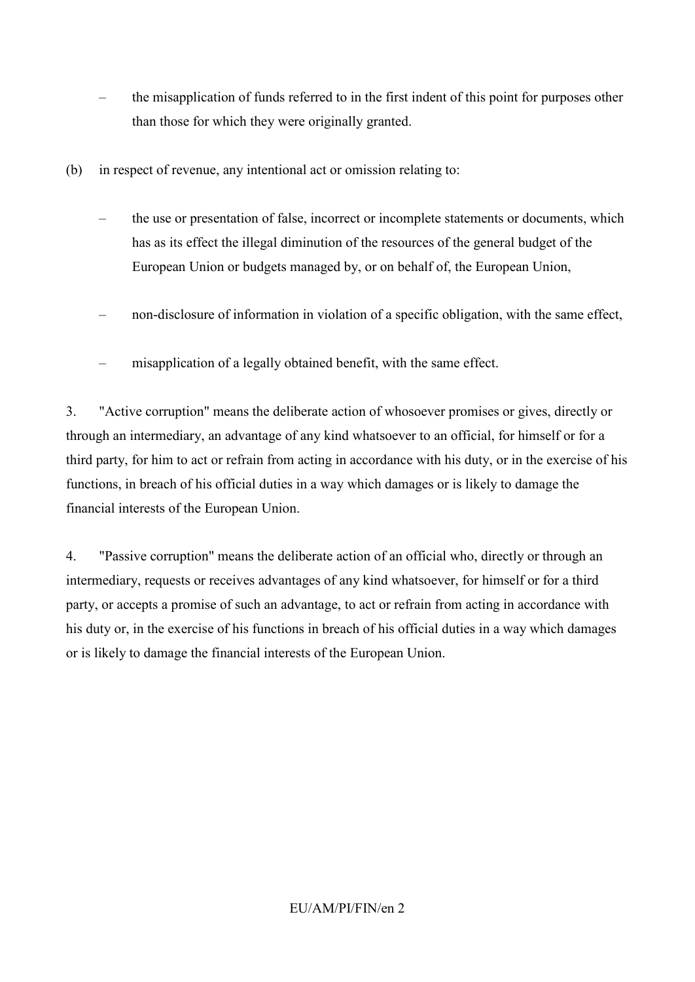- the misapplication of funds referred to in the first indent of this point for purposes other than those for which they were originally granted.
- (b) in respect of revenue, any intentional act or omission relating to:
	- the use or presentation of false, incorrect or incomplete statements or documents, which has as its effect the illegal diminution of the resources of the general budget of the European Union or budgets managed by, or on behalf of, the European Union,
	- non-disclosure of information in violation of a specific obligation, with the same effect,
	- misapplication of a legally obtained benefit, with the same effect.

3. "Active corruption" means the deliberate action of whosoever promises or gives, directly or through an intermediary, an advantage of any kind whatsoever to an official, for himself or for a third party, for him to act or refrain from acting in accordance with his duty, or in the exercise of his functions, in breach of his official duties in a way which damages or is likely to damage the financial interests of the European Union.

4. "Passive corruption" means the deliberate action of an official who, directly or through an intermediary, requests or receives advantages of any kind whatsoever, for himself or for a third party, or accepts a promise of such an advantage, to act or refrain from acting in accordance with his duty or, in the exercise of his functions in breach of his official duties in a way which damages or is likely to damage the financial interests of the European Union.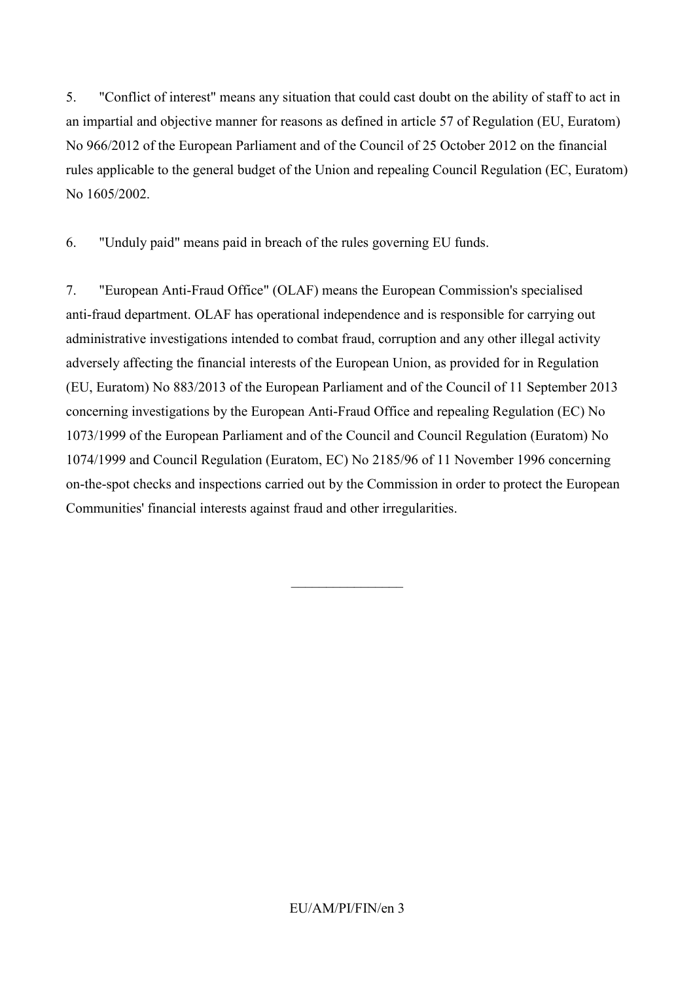5. "Conflict of interest" means any situation that could cast doubt on the ability of staff to act in an impartial and objective manner for reasons as defined in article 57 of Regulation (EU, Euratom) No 966/2012 of the European Parliament and of the Council of 25 October 2012 on the financial rules applicable to the general budget of the Union and repealing Council Regulation (EC, Euratom) No 1605/2002.

6. "Unduly paid" means paid in breach of the rules governing EU funds.

7. "European Anti-Fraud Office" (OLAF) means the European Commission's specialised anti-fraud department. OLAF has operational independence and is responsible for carrying out administrative investigations intended to combat fraud, corruption and any other illegal activity adversely affecting the financial interests of the European Union, as provided for in Regulation (EU, Euratom) No 883/2013 of the European Parliament and of the Council of 11 September 2013 concerning investigations by the European Anti-Fraud Office and repealing Regulation (EC) No 1073/1999 of the European Parliament and of the Council and Council Regulation (Euratom) No 1074/1999 and Council Regulation (Euratom, EC) No 2185/96 of 11 November 1996 concerning on-the-spot checks and inspections carried out by the Commission in order to protect the European Communities' financial interests against fraud and other irregularities.

 $\overline{\phantom{a}}$  , where  $\overline{\phantom{a}}$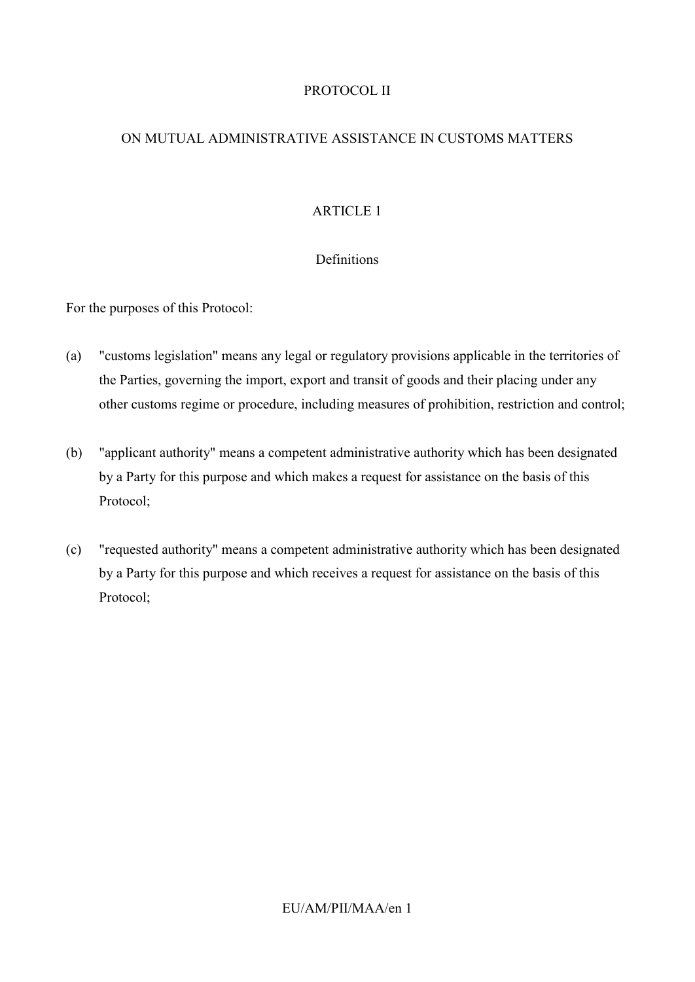# PROTOCOL II

## ON MUTUAL ADMINISTRATIVE ASSISTANCE IN CUSTOMS MATTERS

# ARTICLE 1

## Definitions

For the purposes of this Protocol:

- (a) "customs legislation" means any legal or regulatory provisions applicable in the territories of the Parties, governing the import, export and transit of goods and their placing under any other customs regime or procedure, including measures of prohibition, restriction and control;
- (b) "applicant authority" means a competent administrative authority which has been designated by a Party for this purpose and which makes a request for assistance on the basis of this Protocol;
- (c) "requested authority" means a competent administrative authority which has been designated by a Party for this purpose and which receives a request for assistance on the basis of this Protocol;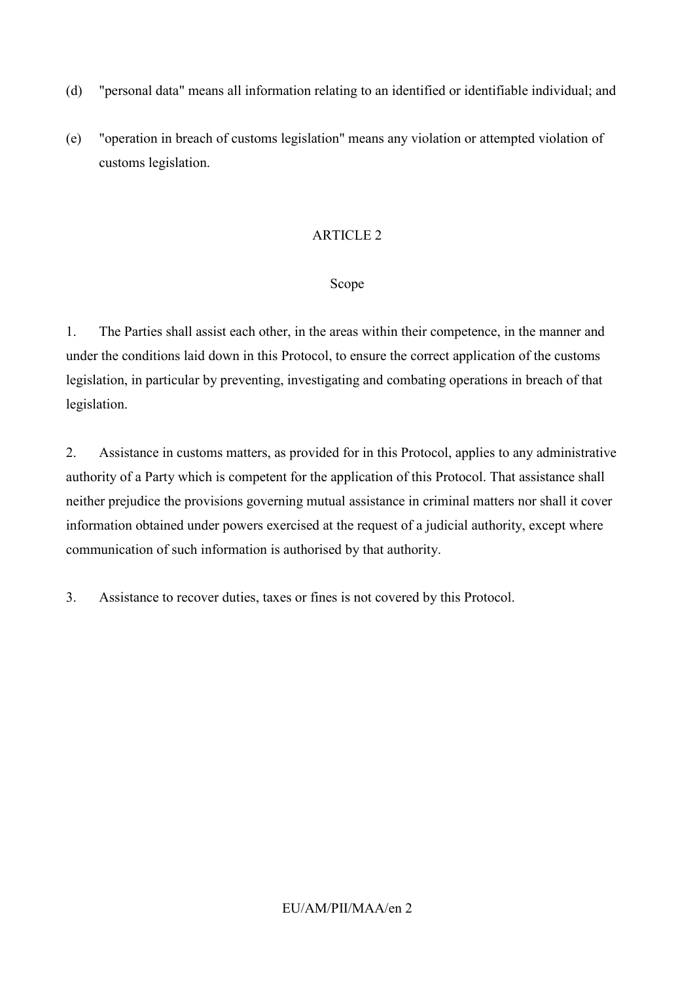- (d) "personal data" means all information relating to an identified or identifiable individual; and
- (e) "operation in breach of customs legislation" means any violation or attempted violation of customs legislation.

## Scope

1. The Parties shall assist each other, in the areas within their competence, in the manner and under the conditions laid down in this Protocol, to ensure the correct application of the customs legislation, in particular by preventing, investigating and combating operations in breach of that legislation.

2. Assistance in customs matters, as provided for in this Protocol, applies to any administrative authority of a Party which is competent for the application of this Protocol. That assistance shall neither prejudice the provisions governing mutual assistance in criminal matters nor shall it cover information obtained under powers exercised at the request of a judicial authority, except where communication of such information is authorised by that authority.

3. Assistance to recover duties, taxes or fines is not covered by this Protocol.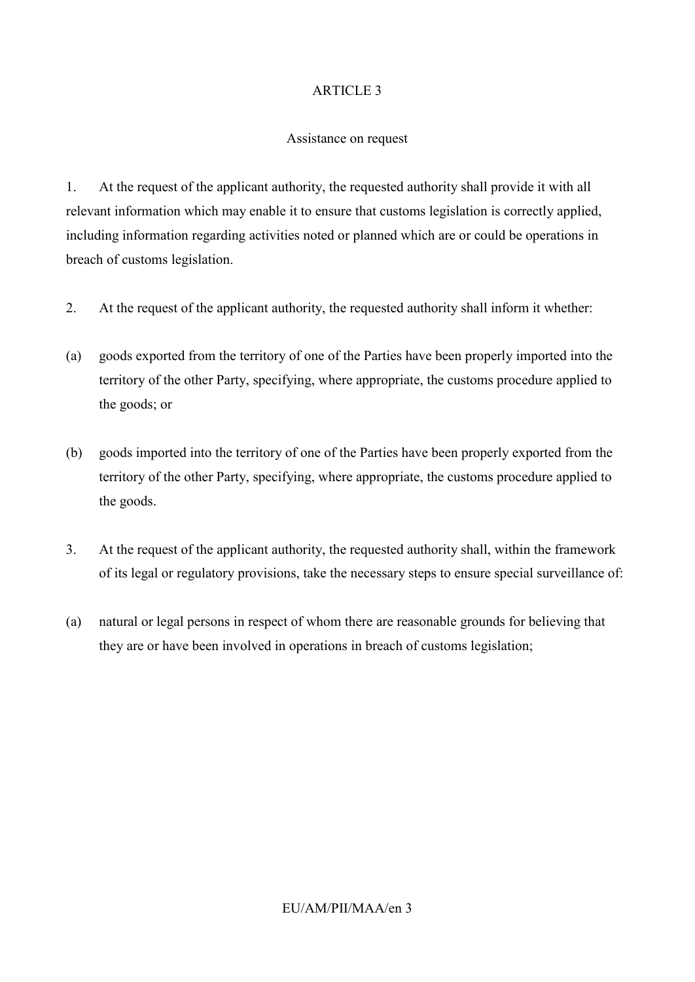#### Assistance on request

1. At the request of the applicant authority, the requested authority shall provide it with all relevant information which may enable it to ensure that customs legislation is correctly applied, including information regarding activities noted or planned which are or could be operations in breach of customs legislation.

- 2. At the request of the applicant authority, the requested authority shall inform it whether:
- (a) goods exported from the territory of one of the Parties have been properly imported into the territory of the other Party, specifying, where appropriate, the customs procedure applied to the goods; or
- (b) goods imported into the territory of one of the Parties have been properly exported from the territory of the other Party, specifying, where appropriate, the customs procedure applied to the goods.
- 3. At the request of the applicant authority, the requested authority shall, within the framework of its legal or regulatory provisions, take the necessary steps to ensure special surveillance of:
- (a) natural or legal persons in respect of whom there are reasonable grounds for believing that they are or have been involved in operations in breach of customs legislation;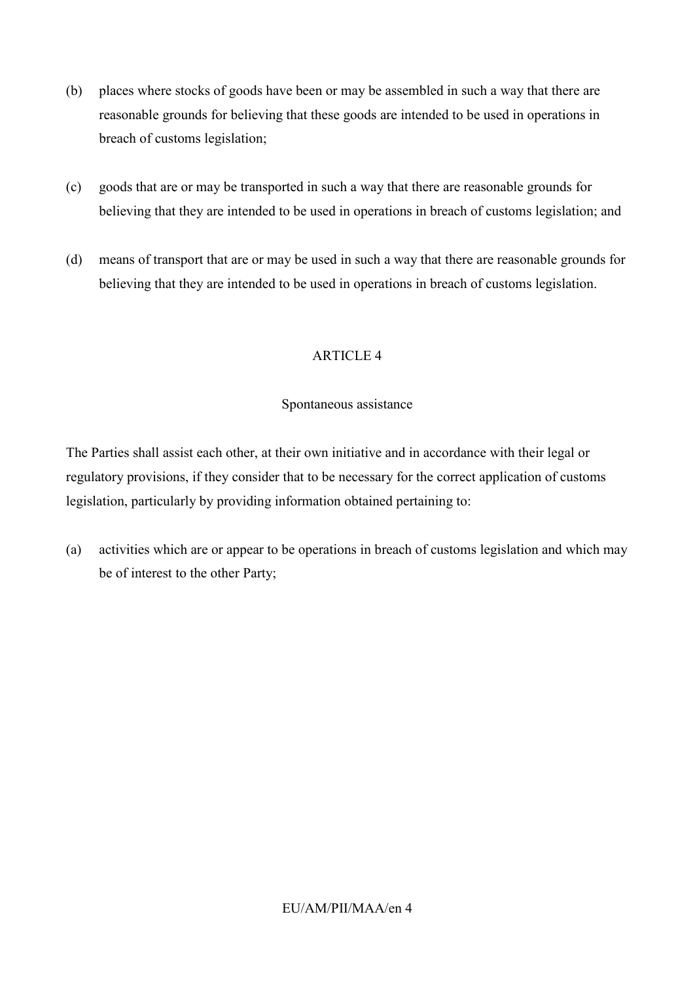- (b) places where stocks of goods have been or may be assembled in such a way that there are reasonable grounds for believing that these goods are intended to be used in operations in breach of customs legislation;
- (c) goods that are or may be transported in such a way that there are reasonable grounds for believing that they are intended to be used in operations in breach of customs legislation; and
- (d) means of transport that are or may be used in such a way that there are reasonable grounds for believing that they are intended to be used in operations in breach of customs legislation.

#### Spontaneous assistance

The Parties shall assist each other, at their own initiative and in accordance with their legal or regulatory provisions, if they consider that to be necessary for the correct application of customs legislation, particularly by providing information obtained pertaining to:

(a) activities which are or appear to be operations in breach of customs legislation and which may be of interest to the other Party;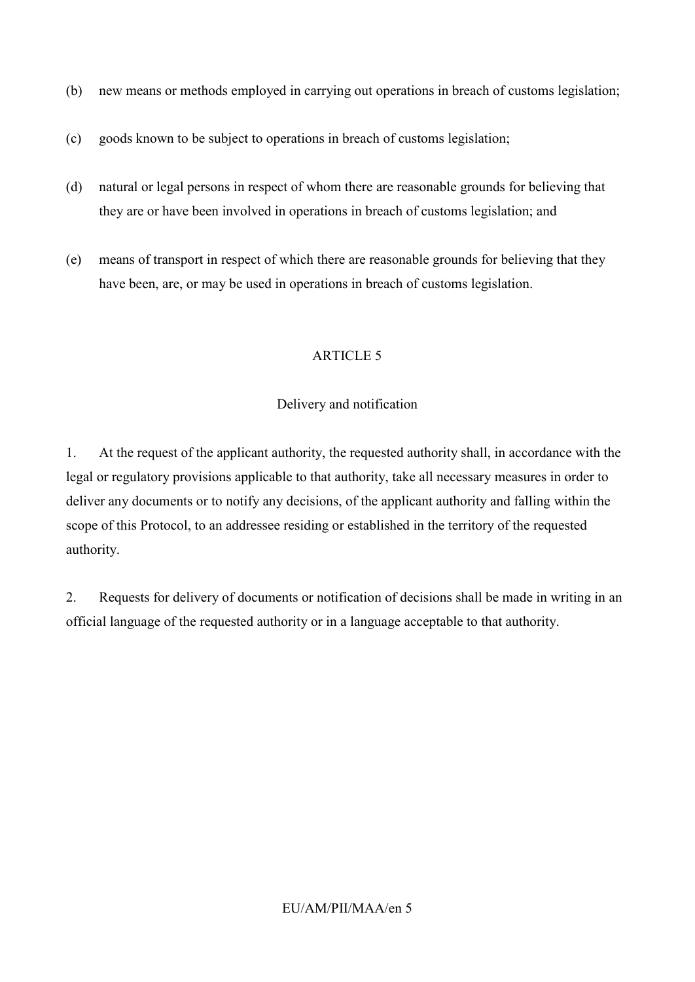- (b) new means or methods employed in carrying out operations in breach of customs legislation;
- (c) goods known to be subject to operations in breach of customs legislation;
- (d) natural or legal persons in respect of whom there are reasonable grounds for believing that they are or have been involved in operations in breach of customs legislation; and
- (e) means of transport in respect of which there are reasonable grounds for believing that they have been, are, or may be used in operations in breach of customs legislation.

## Delivery and notification

1. At the request of the applicant authority, the requested authority shall, in accordance with the legal or regulatory provisions applicable to that authority, take all necessary measures in order to deliver any documents or to notify any decisions, of the applicant authority and falling within the scope of this Protocol, to an addressee residing or established in the territory of the requested authority.

2. Requests for delivery of documents or notification of decisions shall be made in writing in an official language of the requested authority or in a language acceptable to that authority.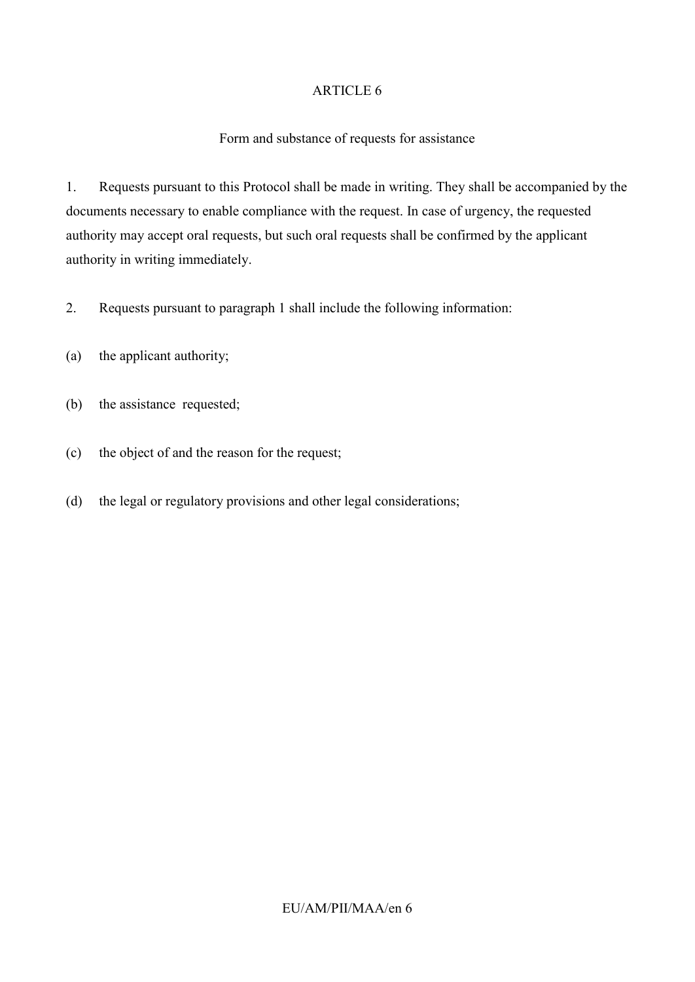#### Form and substance of requests for assistance

1. Requests pursuant to this Protocol shall be made in writing. They shall be accompanied by the documents necessary to enable compliance with the request. In case of urgency, the requested authority may accept oral requests, but such oral requests shall be confirmed by the applicant authority in writing immediately.

2. Requests pursuant to paragraph 1 shall include the following information:

- (a) the applicant authority;
- (b) the assistance requested;
- (c) the object of and the reason for the request;
- (d) the legal or regulatory provisions and other legal considerations;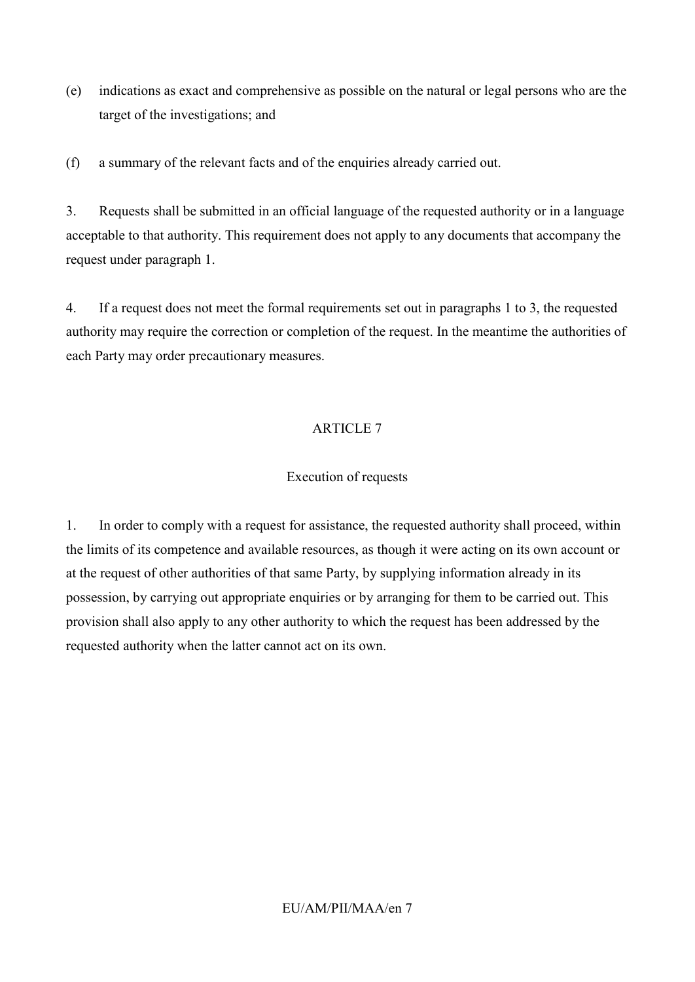(e) indications as exact and comprehensive as possible on the natural or legal persons who are the target of the investigations; and

(f) a summary of the relevant facts and of the enquiries already carried out.

3. Requests shall be submitted in an official language of the requested authority or in a language acceptable to that authority. This requirement does not apply to any documents that accompany the request under paragraph 1.

4. If a request does not meet the formal requirements set out in paragraphs 1 to 3, the requested authority may require the correction or completion of the request. In the meantime the authorities of each Party may order precautionary measures.

# ARTICLE 7

#### Execution of requests

1. In order to comply with a request for assistance, the requested authority shall proceed, within the limits of its competence and available resources, as though it were acting on its own account or at the request of other authorities of that same Party, by supplying information already in its possession, by carrying out appropriate enquiries or by arranging for them to be carried out. This provision shall also apply to any other authority to which the request has been addressed by the requested authority when the latter cannot act on its own.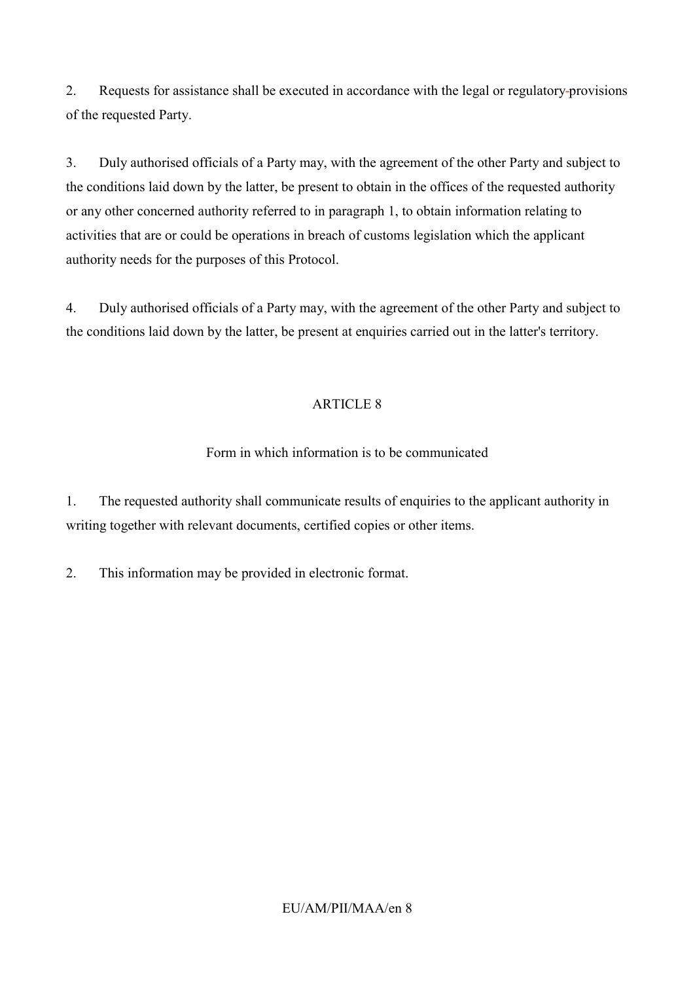2. Requests for assistance shall be executed in accordance with the legal or regulatory provisions of the requested Party.

3. Duly authorised officials of a Party may, with the agreement of the other Party and subject to the conditions laid down by the latter, be present to obtain in the offices of the requested authority or any other concerned authority referred to in paragraph 1, to obtain information relating to activities that are or could be operations in breach of customs legislation which the applicant authority needs for the purposes of this Protocol.

4. Duly authorised officials of a Party may, with the agreement of the other Party and subject to the conditions laid down by the latter, be present at enquiries carried out in the latter's territory.

## ARTICLE 8

## Form in which information is to be communicated

1. The requested authority shall communicate results of enquiries to the applicant authority in writing together with relevant documents, certified copies or other items.

2. This information may be provided in electronic format.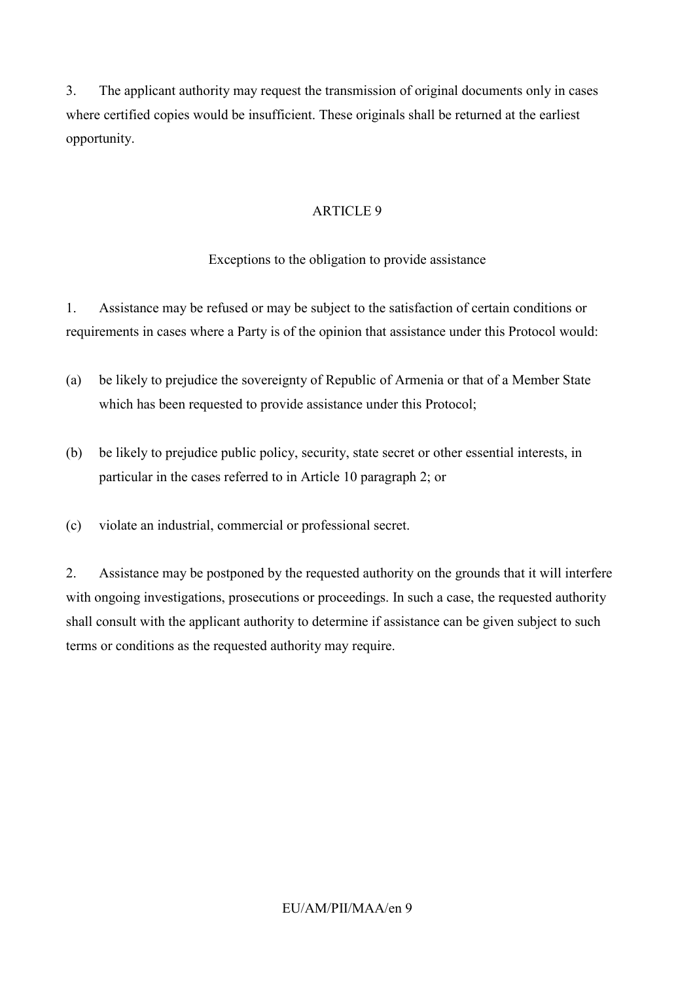3. The applicant authority may request the transmission of original documents only in cases where certified copies would be insufficient. These originals shall be returned at the earliest opportunity.

## ARTICLE 9

## Exceptions to the obligation to provide assistance

1. Assistance may be refused or may be subject to the satisfaction of certain conditions or requirements in cases where a Party is of the opinion that assistance under this Protocol would:

- (a) be likely to prejudice the sovereignty of Republic of Armenia or that of a Member State which has been requested to provide assistance under this Protocol;
- (b) be likely to prejudice public policy, security, state secret or other essential interests, in particular in the cases referred to in Article 10 paragraph 2; or
- (c) violate an industrial, commercial or professional secret.

2. Assistance may be postponed by the requested authority on the grounds that it will interfere with ongoing investigations, prosecutions or proceedings. In such a case, the requested authority shall consult with the applicant authority to determine if assistance can be given subject to such terms or conditions as the requested authority may require.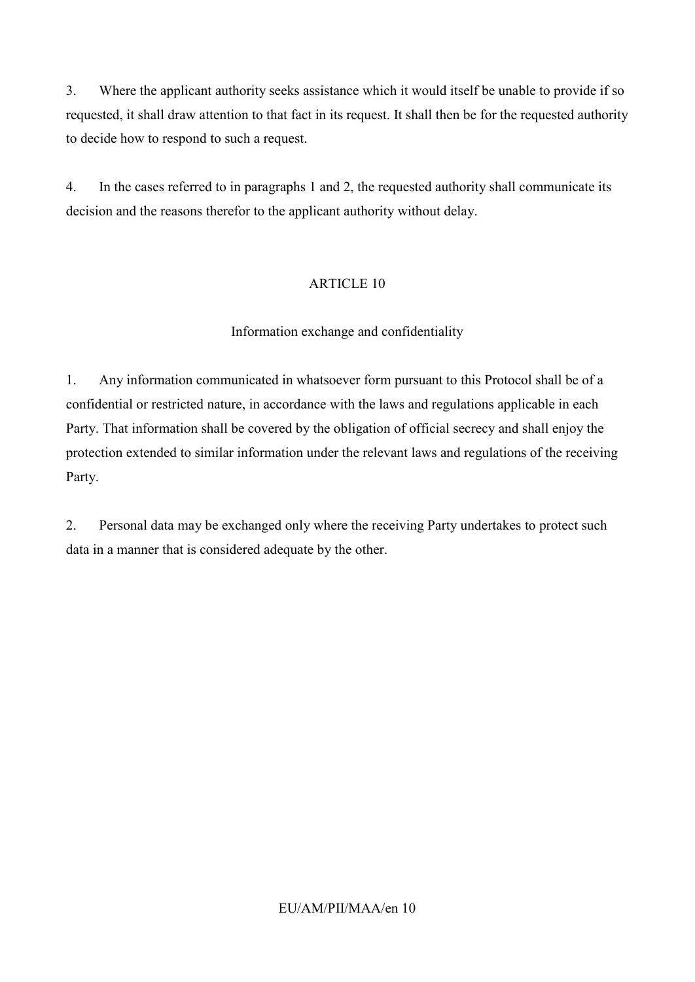3. Where the applicant authority seeks assistance which it would itself be unable to provide if so requested, it shall draw attention to that fact in its request. It shall then be for the requested authority to decide how to respond to such a request.

4. In the cases referred to in paragraphs 1 and 2, the requested authority shall communicate its decision and the reasons therefor to the applicant authority without delay.

# ARTICLE 10

## Information exchange and confidentiality

1. Any information communicated in whatsoever form pursuant to this Protocol shall be of a confidential or restricted nature, in accordance with the laws and regulations applicable in each Party. That information shall be covered by the obligation of official secrecy and shall enjoy the protection extended to similar information under the relevant laws and regulations of the receiving Party.

2. Personal data may be exchanged only where the receiving Party undertakes to protect such data in a manner that is considered adequate by the other.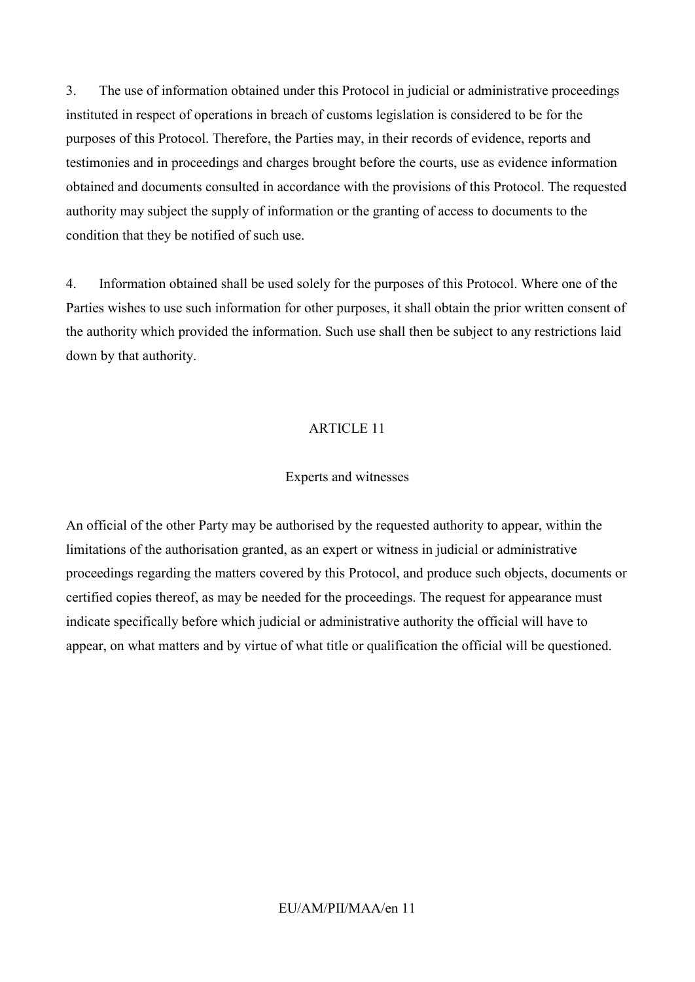3. The use of information obtained under this Protocol in judicial or administrative proceedings instituted in respect of operations in breach of customs legislation is considered to be for the purposes of this Protocol. Therefore, the Parties may, in their records of evidence, reports and testimonies and in proceedings and charges brought before the courts, use as evidence information obtained and documents consulted in accordance with the provisions of this Protocol. The requested authority may subject the supply of information or the granting of access to documents to the condition that they be notified of such use.

4. Information obtained shall be used solely for the purposes of this Protocol. Where one of the Parties wishes to use such information for other purposes, it shall obtain the prior written consent of the authority which provided the information. Such use shall then be subject to any restrictions laid down by that authority.

#### ARTICLE 11

#### Experts and witnesses

An official of the other Party may be authorised by the requested authority to appear, within the limitations of the authorisation granted, as an expert or witness in judicial or administrative proceedings regarding the matters covered by this Protocol, and produce such objects, documents or certified copies thereof, as may be needed for the proceedings. The request for appearance must indicate specifically before which judicial or administrative authority the official will have to appear, on what matters and by virtue of what title or qualification the official will be questioned.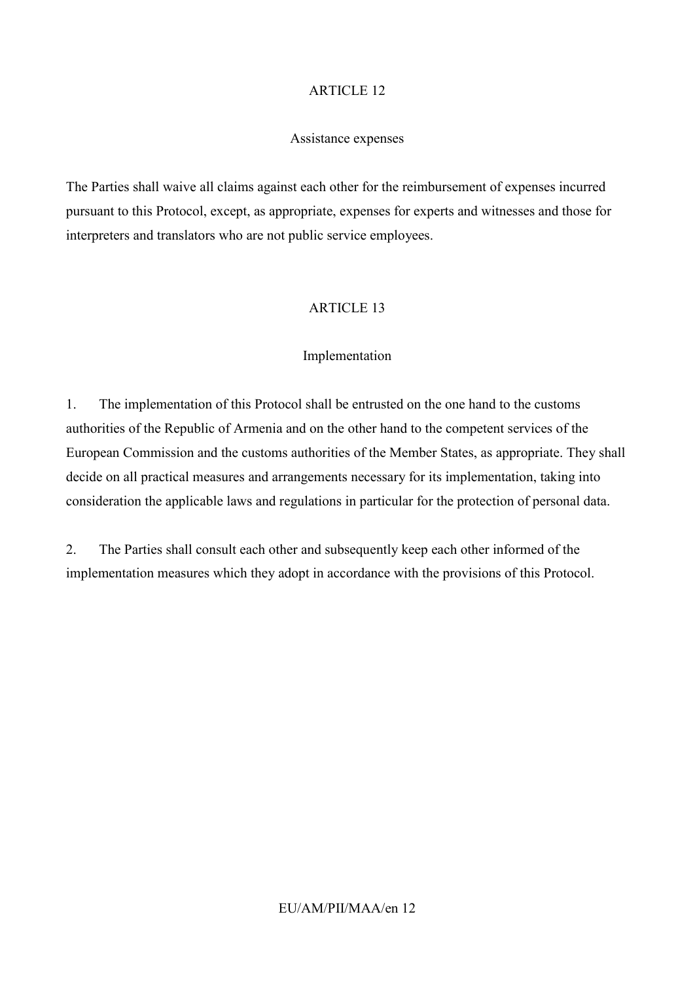#### Assistance expenses

The Parties shall waive all claims against each other for the reimbursement of expenses incurred pursuant to this Protocol, except, as appropriate, expenses for experts and witnesses and those for interpreters and translators who are not public service employees.

#### ARTICLE 13

#### Implementation

1. The implementation of this Protocol shall be entrusted on the one hand to the customs authorities of the Republic of Armenia and on the other hand to the competent services of the European Commission and the customs authorities of the Member States, as appropriate. They shall decide on all practical measures and arrangements necessary for its implementation, taking into consideration the applicable laws and regulations in particular for the protection of personal data.

2. The Parties shall consult each other and subsequently keep each other informed of the implementation measures which they adopt in accordance with the provisions of this Protocol.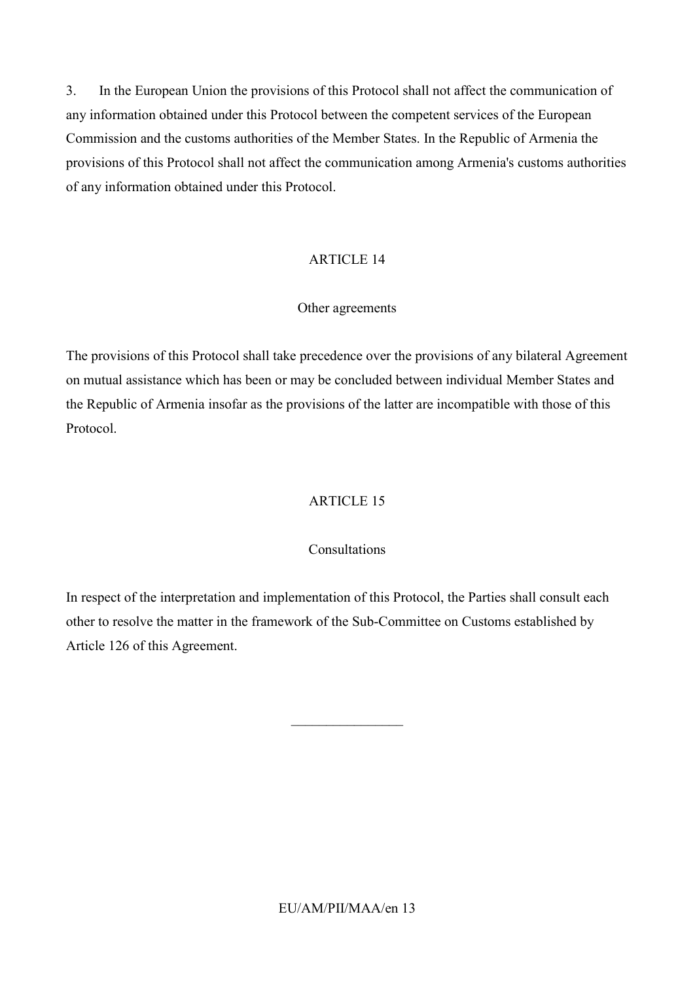3. In the European Union the provisions of this Protocol shall not affect the communication of any information obtained under this Protocol between the competent services of the European Commission and the customs authorities of the Member States. In the Republic of Armenia the provisions of this Protocol shall not affect the communication among Armenia's customs authorities of any information obtained under this Protocol.

#### ARTICLE 14

#### Other agreements

The provisions of this Protocol shall take precedence over the provisions of any bilateral Agreement on mutual assistance which has been or may be concluded between individual Member States and the Republic of Armenia insofar as the provisions of the latter are incompatible with those of this Protocol.

#### ARTICLE 15

#### Consultations

In respect of the interpretation and implementation of this Protocol, the Parties shall consult each other to resolve the matter in the framework of the Sub-Committee on Customs established by Article 126 of this Agreement.

 $\_$